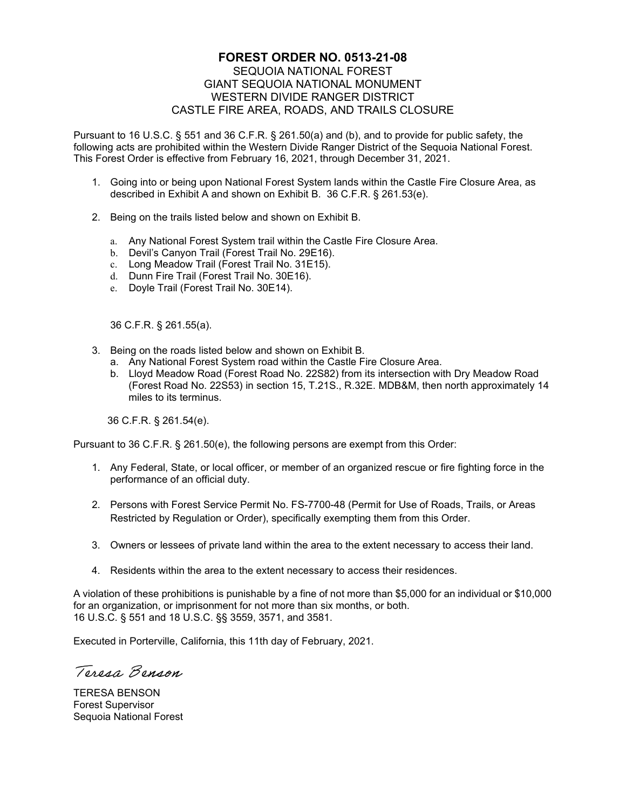## **FOREST ORDER NO. 0513-21-08**  SEQUOIA NATIONAL FOREST GIANT SEQUOIA NATIONAL MONUMENT WESTERN DIVIDE RANGER DISTRICT CASTLE FIRE AREA, ROADS, AND TRAILS CLOSURE

Pursuant to 16 U.S.C. § 551 and 36 C.F.R. § 261.50(a) and (b), and to provide for public safety, the following acts are prohibited within the Western Divide Ranger District of the Sequoia National Forest. This Forest Order is effective from February 16, 2021, through December 31, 2021.

- 1. Going into or being upon National Forest System lands within the Castle Fire Closure Area, as described in Exhibit A and shown on Exhibit B. 36 C.F.R. § 261.53(e).
- 2. Being on the trails listed below and shown on Exhibit B.
	- a. Any National Forest System trail within the Castle Fire Closure Area.
	- b. Devil's Canyon Trail (Forest Trail No. 29E16).
	- c. Long Meadow Trail (Forest Trail No. 31E15).
	- d. Dunn Fire Trail (Forest Trail No. 30E16).
	- e. Doyle Trail (Forest Trail No. 30E14).

36 C.F.R. § 261.55(a).

- 3. Being on the roads listed below and shown on Exhibit B.
	- a. Any National Forest System road within the Castle Fire Closure Area.
	- b. Lloyd Meadow Road (Forest Road No. 22S82) from its intersection with Dry Meadow Road (Forest Road No. 22S53) in section 15, T.21S., R.32E. MDB&M, then north approximately 14 miles to its terminus.

36 C.F.R. § 261.54(e).

Pursuant to 36 C.F.R. § 261.50(e), the following persons are exempt from this Order:

- 1. Any Federal, State, or local officer, or member of an organized rescue or fire fighting force in the performance of an official duty.
- 2. Persons with Forest Service Permit No. FS-7700-48 (Permit for Use of Roads, Trails, or Areas Restricted by Regulation or Order), specifically exempting them from this Order.
- 3. Owners or lessees of private land within the area to the extent necessary to access their land.
- 4. Residents within the area to the extent necessary to access their residences.

A violation of these prohibitions is punishable by a fine of not more than \$5,000 for an individual or \$10,000 for an organization, or imprisonment for not more than six months, or both. 16 U.S.C. § 551 and 18 U.S.C. §§ 3559, 3571, and 3581.

Executed in Porterville, California, this 11th day of February, 2021.

Teresa Benson

TERESA BENSON Forest Supervisor Sequoia National Forest